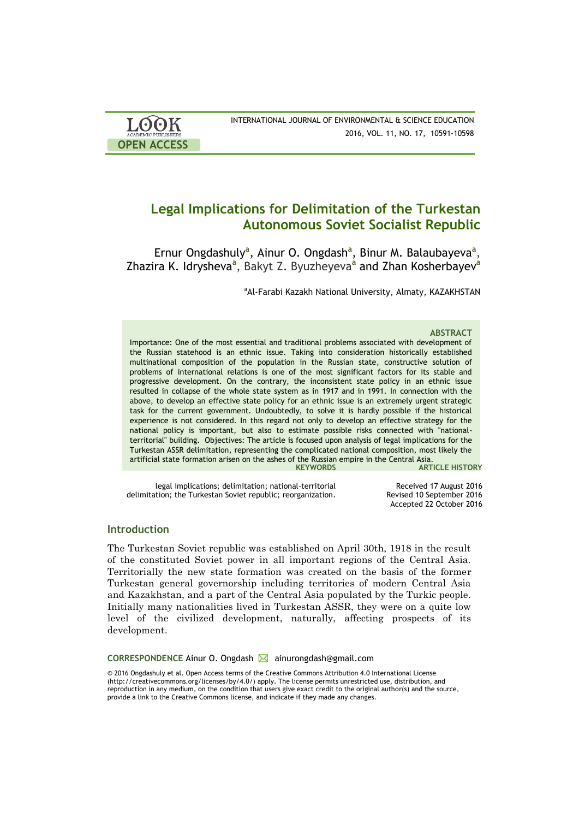| <b>LOOK</b>         | INTERNATIONAL JOURNAL OF ENVIRONMENTAL & SCIENCE EDUCATION |
|---------------------|------------------------------------------------------------|
| ACADEMIC PUBLISHERS | 2016, VOL. 11, NO. 17, 10591-10598                         |
| <b>OPEN ACCESS</b>  |                                                            |

# **Legal Implications for Delimitation of the Turkestan Autonomous Soviet Socialist Republic**

Ernur Ongdashuly<sup>a</sup>, Ainur O. Ongdash<sup>a</sup>, Binur M. Balaubayeva<sup>a</sup>, Zhazira K. Idrysheva**<sup>a</sup>** , Bakyt Z. Byuzheyeva**<sup>a</sup>** and Zhan Kosherbayev**<sup>a</sup>**

aAl-Farabi Kazakh National University, Almaty, KAZAKHSTAN

### **ABSTRACT**

Importance: One of the most essential and traditional problems associated with development of the Russian statehood is an ethnic issue. Taking into consideration historically established multinational composition of the population in the Russian state, constructive solution of problems of international relations is one of the most significant factors for its stable and progressive development. On the contrary, the inconsistent state policy in an ethnic issue resulted in collapse of the whole state system as in 1917 and in 1991. In connection with the above, to develop an effective state policy for an ethnic issue is an extremely urgent strategic task for the current government. Undoubtedly, to solve it is hardly possible if the historical experience is not considered. In this regard not only to develop an effective strategy for the national policy is important, but also to estimate possible risks connected with "nationalterritorial" building. Objectives: The article is focused upon analysis of legal implications for the Turkestan ASSR delimitation, representing the complicated national composition, most likely the artificial state formation arisen on the ashes of the Russian empire in the Central Asia.

**ARTICLE HISTORY** 

legal implications; delimitation; national-territorial delimitation; the Turkestan Soviet republic; reorganization.

Received 17 August 2016 Revised 10 September 2016 Accepted 22 October 2016

## **Introduction**

The Turkestan Soviet republic was established on April 30th, 1918 in the result of the constituted Soviet power in all important regions of the Central Asia. Territorially the new state formation was created on the basis of the former Turkestan general governorship including territories of modern Central Asia and Kazakhstan, and a part of the Central Asia populated by the Turkic people. Initially many nationalities lived in Turkestan ASSR, they were on a quite low level of the civilized development, naturally, affecting prospects of its development.

**CORRESPONDENCE** Ainur O. Ongdash **M** ainurongdash@gmail.com

© 2016 Ongdashuly et al. Open Access terms of the Creative Commons Attribution 4.0 International License (http://creativecommons.org/licenses/by/4.0/) apply. The license permits unrestricted use, distribution, and reproduction in any medium, on the condition that users give exact credit to the original author(s) and the source, provide a link to the Creative Commons license, and indicate if they made any changes.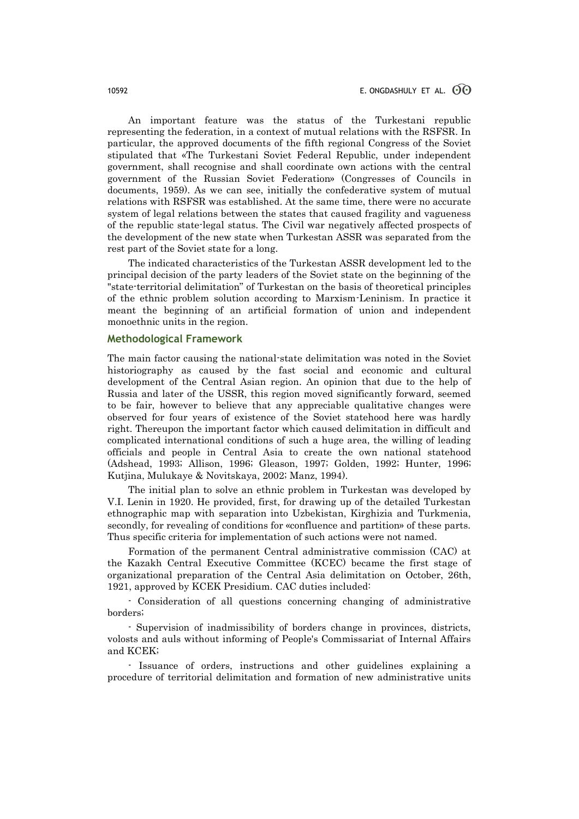An important feature was the status of the Turkestani republic representing the federation, in a context of mutual relations with the RSFSR. In particular, the approved documents of the fifth regional Congress of the Soviet stipulated that «The Turkestani Soviet Federal Republic, under independent government, shall recognise and shall coordinate own actions with the central government of the Russian Soviet Federation» (Congresses of Councils in documents, 1959). As we can see, initially the confederative system of mutual relations with RSFSR was established. At the same time, there were no accurate system of legal relations between the states that caused fragility and vagueness of the republic state-legal status. The Civil war negatively affected prospects of the development of the new state when Turkestan ASSR was separated from the rest part of the Soviet state for a long.

The indicated characteristics of the Turkestan ASSR development led to the principal decision of the party leaders of the Soviet state on the beginning of the "state-territorial delimitation" of Turkestan on the basis of theoretical principles of the ethnic problem solution according to Marxism-Leninism. In practice it meant the beginning of an artificial formation of union and independent monoethnic units in the region.

### **Methodological Framework**

The main factor causing the national-state delimitation was noted in the Soviet historiography as caused by the fast social and economic and cultural development of the Central Asian region. An opinion that due to the help of Russia and later of the USSR, this region moved significantly forward, seemed to be fair, however to believe that any appreciable qualitative changes were observed for four years of existence of the Soviet statehood here was hardly right. Thereupon the important factor which caused delimitation in difficult and complicated international conditions of such a huge area, the willing of leading officials and people in Central Asia to create the own national statehood (Adshead, 1993; Allison, 1996; Gleason, 1997; Golden, 1992; Hunter, 1996; Kutjina, Mulukaye & Novitskaya, 2002; Manz, 1994).

The initial plan to solve an ethnic problem in Turkestan was developed by V.I. Lenin in 1920. He provided, first, for drawing up of the detailed Turkestan ethnographic map with separation into Uzbekistan, Kirghizia and Turkmenia, secondly, for revealing of conditions for «confluence and partition» of these parts. Thus specific criteria for implementation of such actions were not named.

Formation of the permanent Central administrative commission (CAC) at the Kazakh Central Executive Committee (KCEC) became the first stage of organizational preparation of the Central Asia delimitation on October, 26th, 1921, approved by KCEK Presidium. CAC duties included:

- Consideration of all questions concerning changing of administrative borders;

- Supervision of inadmissibility of borders change in provinces, districts, volosts and auls without informing of People's Commissariat of Internal Affairs and KCEK;

- Issuance of orders, instructions and other guidelines explaining a procedure of territorial delimitation and formation of new administrative units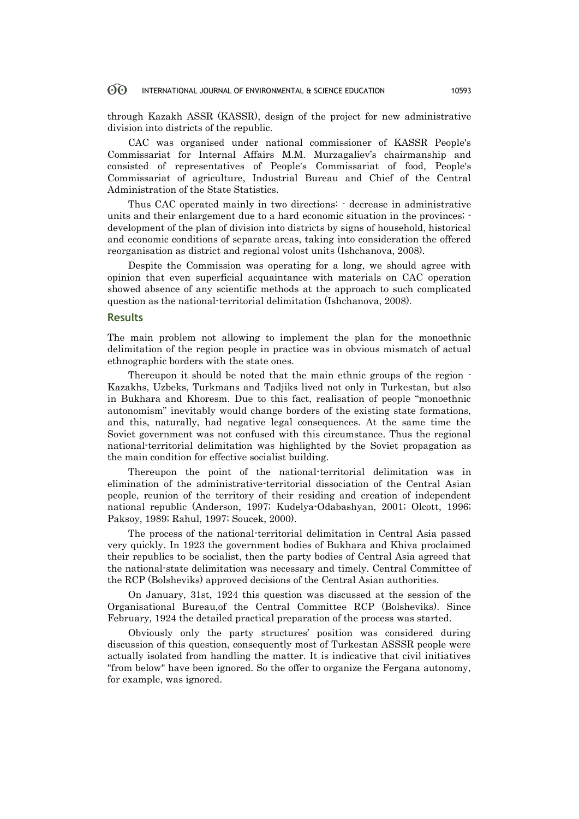#### 60 INTERNATIONAL JOURNAL OF ENVIRONMENTAL & SCIENCE EDUCATION 10593

through Kazakh ASSR (KASSR), design of the project for new administrative division into districts of the republic.

CAC was organised under national commissioner of KASSR People's Commissariat for Internal Affairs M.M. Murzagaliev's chairmanship and consisted of representatives of People's Commissariat of food, People's Commissariat of agriculture, Industrial Bureau and Chief of the Central Administration of the State Statistics.

Thus CAC operated mainly in two directions: - decrease in administrative units and their enlargement due to a hard economic situation in the provinces; development of the plan of division into districts by signs of household, historical and economic conditions of separate areas, taking into consideration the offered reorganisation as district and regional volost units (Ishchanova, 2008).

Despite the Commission was operating for a long, we should agree with opinion that even superficial acquaintance with materials on CAC operation showed absence of any scientific methods at the approach to such complicated question as the national-territorial delimitation (Ishchanova, 2008).

### **Results**

The main problem not allowing to implement the plan for the monoethnic delimitation of the region people in practice was in obvious mismatch of actual ethnographic borders with the state ones.

Thereupon it should be noted that the main ethnic groups of the region - Kazakhs, Uzbeks, Turkmans and Tadjiks lived not only in Turkestan, but also in Bukhara and Khoresm. Due to this fact, realisation of people "monoethnic autonomism" inevitably would change borders of the existing state formations, and this, naturally, had negative legal consequences. At the same time the Soviet government was not confused with this circumstance. Thus the regional national-territorial delimitation was highlighted by the Soviet propagation as the main condition for effective socialist building.

Thereupon the point of the national-territorial delimitation was in elimination of the administrative-territorial dissociation of the Central Asian people, reunion of the territory of their residing and creation of independent national republic (Anderson, 1997; Kudelya-Odabashyan, 2001; Olcott, 1996; Paksoy, 1989; Rahul, 1997; Soucek, 2000).

The process of the national-territorial delimitation in Central Asia passed very quickly. In 1923 the government bodies of Bukhara and Khiva proclaimed their republics to be socialist, then the party bodies of Central Asia agreed that the national-state delimitation was necessary and timely. Central Committee of the RCP (Bolsheviks) approved decisions of the Central Asian authorities.

On January, 31st, 1924 this question was discussed at the session of the Organisational Bureau,of the Central Committee RCP (Bolsheviks). Since February, 1924 the detailed practical preparation of the process was started.

Obviously only the party structures' position was considered during discussion of this question, consequently most of Turkestan ASSSR people were actually isolated from handling the matter. It is indicative that civil initiatives "from below" have been ignored. So the offer to organize the Fergana autonomy, for example, was ignored.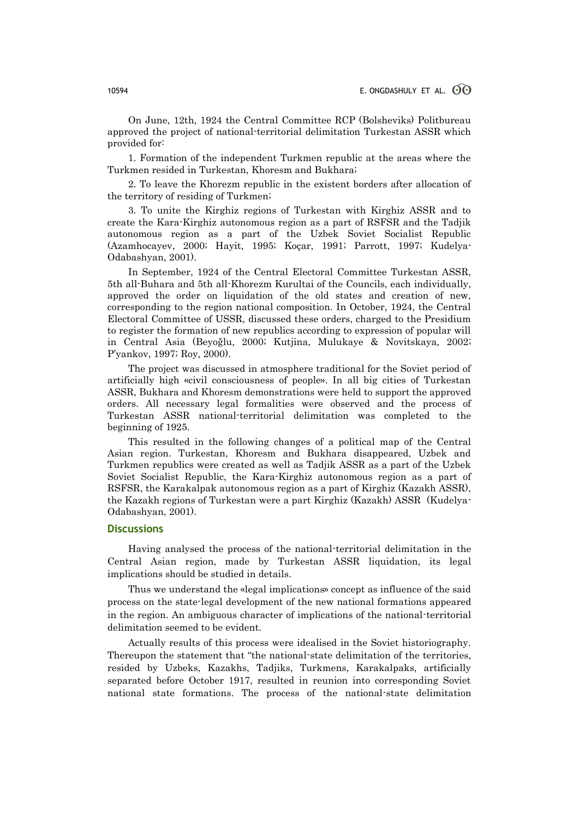On June, 12th, 1924 the Central Committee RCP (Bolsheviks) Politbureau approved the project of national-territorial delimitation Turkestan ASSR which provided for:

1. Formation of the independent Turkmen republic at the areas where the Turkmen resided in Turkestan, Khoresm and Bukhara;

2. To leave the Khorezm republic in the existent borders after allocation of the territory of residing of Turkmen;

3. To unite the Kirghiz regions of Turkestan with Kirghiz ASSR and to create the Kara-Kirghiz autonomous region as a part of RSFSR and the Tadjik autonomous region as a part of the Uzbek Soviet Socialist Republic (Azamhocayev, 2000; Hayit, 1995; Koçar, 1991; Parrott, 1997; Kudelya-Odabashyan, 2001).

In September, 1924 of the Central Electoral Committee Turkestan ASSR, 5th all-Buhara and 5th all-Khorezm Kurultai of the Councils, each individually, approved the order on liquidation of the old states and creation of new, corresponding to the region national composition. In October, 1924, the Central Electoral Committee of USSR, discussed these orders, charged to the Presidium to register the formation of new republics according to expression of popular will in Central Asia (Beyoğlu, 2000; Kutjina, Mulukaye & Novitskaya, 2002; P'yankov, 1997; Roy, 2000).

The project was discussed in atmosphere traditional for the Soviet period of artificially high «civil consciousness of people». In all big cities of Turkestan ASSR, Bukhara and Khoresm demonstrations were held to support the approved orders. All necessary legal formalities were observed and the process of Turkestan ASSR national-territorial delimitation was completed to the beginning of 1925.

This resulted in the following changes of a political map of the Central Asian region. Turkestan, Khoresm and Bukhara disappeared, Uzbek and Turkmen republics were created as well as Tadjik ASSR as a part of the Uzbek Soviet Socialist Republic, the Kara-Kirghiz autonomous region as a part of RSFSR, the Karakalpak autonomous region as a part of Kirghiz (Kazakh ASSR), the Kazakh regions of Turkestan were a part Kirghiz (Kazakh) ASSR (Kudelya-Odabashyan, 2001).

### **Discussions**

Having analysed the process of the national-territorial delimitation in the Central Asian region, made by Turkestan ASSR liquidation, its legal implications should be studied in details.

Thus we understand the «legal implications» concept as influence of the said process on the state-legal development of the new national formations appeared in the region. An ambiguous character of implications of the national-territorial delimitation seemed to be evident.

Actually results of this process were idealised in the Soviet historiography. Thereupon the statement that "the national-state delimitation of the territories, resided by Uzbeks, Kazakhs, Tadjiks, Turkmens, Karakalpaks, artificially separated before October 1917, resulted in reunion into corresponding Soviet national state formations. The process of the national-state delimitation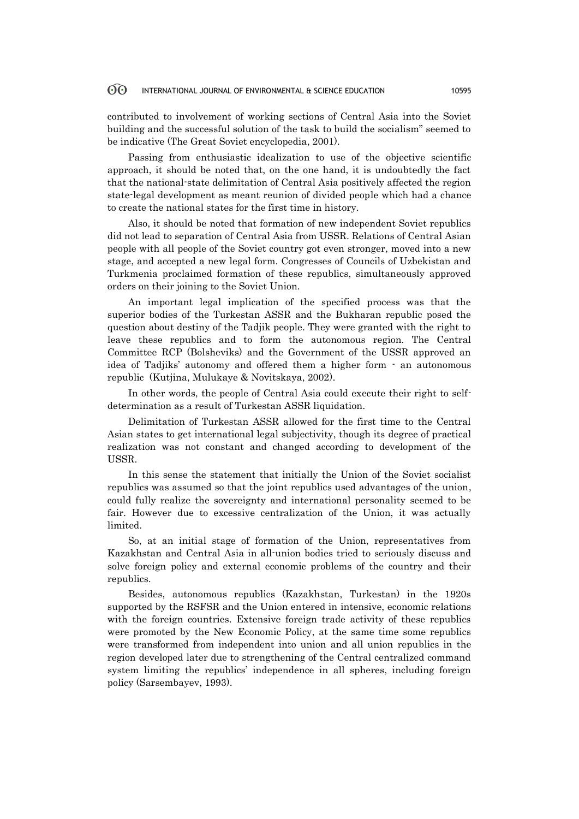#### 60 INTERNATIONAL JOURNAL OF ENVIRONMENTAL & SCIENCE EDUCATION 10595

contributed to involvement of working sections of Central Asia into the Soviet building and the successful solution of the task to build the socialism" seemed to be indicative (The Great Soviet encyclopedia, 2001).

Passing from enthusiastic idealization to use of the objective scientific approach, it should be noted that, on the one hand, it is undoubtedly the fact that the national-state delimitation of Central Asia positively affected the region state-legal development as meant reunion of divided people which had a chance to create the national states for the first time in history.

Also, it should be noted that formation of new independent Soviet republics did not lead to separation of Central Asia from USSR. Relations of Central Asian people with all people of the Soviet country got even stronger, moved into a new stage, and accepted a new legal form. Congresses of Councils of Uzbekistan and Turkmenia proclaimed formation of these republics, simultaneously approved orders on their joining to the Soviet Union.

An important legal implication of the specified process was that the superior bodies of the Turkestan ASSR and the Bukharan republic posed the question about destiny of the Tadjik people. They were granted with the right to leave these republics and to form the autonomous region. The Central Committee RCP (Bolsheviks) and the Government of the USSR approved an idea of Tadjiks' autonomy and offered them a higher form - an autonomous republic (Kutjina, Mulukaye & Novitskaya, 2002).

In other words, the people of Central Asia could execute their right to selfdetermination as a result of Turkestan ASSR liquidation.

Delimitation of Turkestan ASSR allowed for the first time to the Central Asian states to get international legal subjectivity, though its degree of practical realization was not constant and changed according to development of the USSR.

In this sense the statement that initially the Union of the Soviet socialist republics was assumed so that the joint republics used advantages of the union, could fully realize the sovereignty and international personality seemed to be fair. However due to excessive centralization of the Union, it was actually limited.

So, at an initial stage of formation of the Union, representatives from Kazakhstan and Central Asia in all-union bodies tried to seriously discuss and solve foreign policy and external economic problems of the country and their republics.

Besides, autonomous republics (Kazakhstan, Turkestan) in the 1920s supported by the RSFSR and the Union entered in intensive, economic relations with the foreign countries. Extensive foreign trade activity of these republics were promoted by the New Economic Policy, at the same time some republics were transformed from independent into union and all union republics in the region developed later due to strengthening of the Central centralized command system limiting the republics' independence in all spheres, including foreign policy (Sarsembayev, 1993).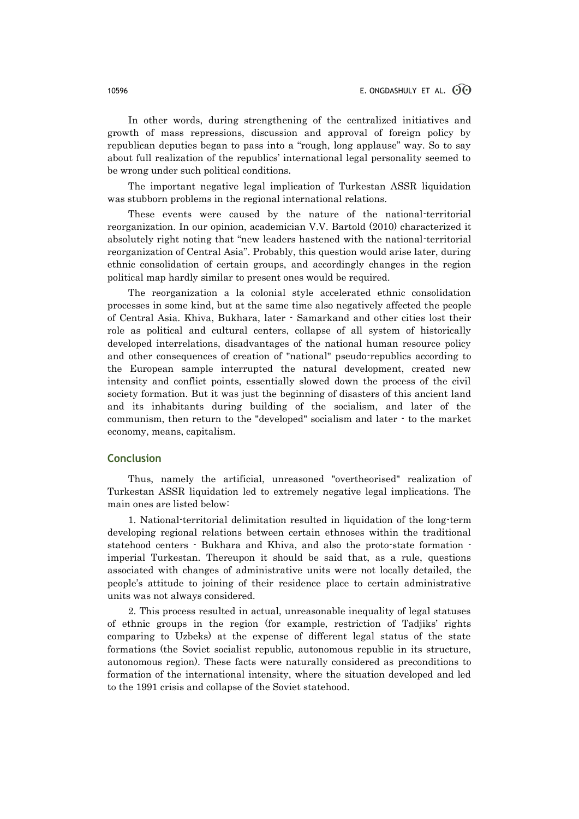In other words, during strengthening of the centralized initiatives and growth of mass repressions, discussion and approval of foreign policy by republican deputies began to pass into a "rough, long applause" way. So to say about full realization of the republics' international legal personality seemed to be wrong under such political conditions.

The important negative legal implication of Turkestan ASSR liquidation was stubborn problems in the regional international relations.

These events were caused by the nature of the national-territorial reorganization. In our opinion, academician V.V. Bartold (2010) characterized it absolutely right noting that "new leaders hastened with the national-territorial reorganization of Central Asia". Probably, this question would arise later, during ethnic consolidation of certain groups, and accordingly changes in the region political map hardly similar to present ones would be required.

The reorganization a la colonial style accelerated ethnic consolidation processes in some kind, but at the same time also negatively affected the people of Central Asia. Khiva, Bukhara, later - Samarkand and other cities lost their role as political and cultural centers, collapse of all system of historically developed interrelations, disadvantages of the national human resource policy and other consequences of creation of "national" pseudo-republics according to the European sample interrupted the natural development, created new intensity and conflict points, essentially slowed down the process of the civil society formation. But it was just the beginning of disasters of this ancient land and its inhabitants during building of the socialism, and later of the communism, then return to the "developed" socialism and later - to the market economy, means, capitalism.

### **Conclusion**

Thus, namely the artificial, unreasoned "overtheorised" realization of Turkestan ASSR liquidation led to extremely negative legal implications. The main ones are listed below:

1. National-territorial delimitation resulted in liquidation of the long-term developing regional relations between certain ethnoses within the traditional statehood centers - Bukhara and Khiva, and also the proto-state formation imperial Turkestan. Thereupon it should be said that, as a rule, questions associated with changes of administrative units were not locally detailed, the people's attitude to joining of their residence place to certain administrative units was not always considered.

2. This process resulted in actual, unreasonable inequality of legal statuses of ethnic groups in the region (for example, restriction of Tadjiks' rights comparing to Uzbeks) at the expense of different legal status of the state formations (the Soviet socialist republic, autonomous republic in its structure, autonomous region). These facts were naturally considered as preconditions to formation of the international intensity, where the situation developed and led to the 1991 crisis and collapse of the Soviet statehood.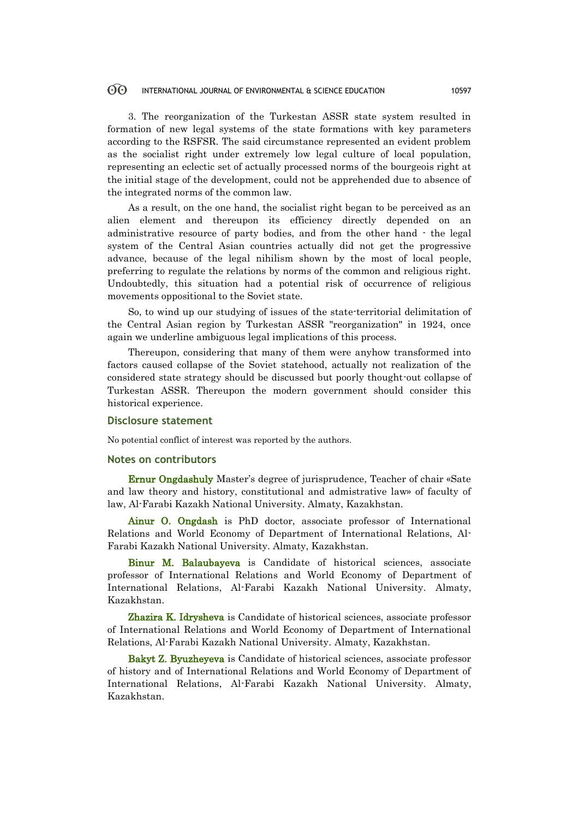#### 60 INTERNATIONAL JOURNAL OF ENVIRONMENTAL & SCIENCE EDUCATION 10597

3. The reorganization of the Turkestan ASSR state system resulted in formation of new legal systems of the state formations with key parameters according to the RSFSR. The said circumstance represented an evident problem as the socialist right under extremely low legal culture of local population, representing an eclectic set of actually processed norms of the bourgeois right at the initial stage of the development, could not be apprehended due to absence of the integrated norms of the common law.

As a result, on the one hand, the socialist right began to be perceived as an alien element and thereupon its efficiency directly depended on an administrative resource of party bodies, and from the other hand - the legal system of the Central Asian countries actually did not get the progressive advance, because of the legal nihilism shown by the most of local people, preferring to regulate the relations by norms of the common and religious right. Undoubtedly, this situation had a potential risk of occurrence of religious movements oppositional to the Soviet state.

So, to wind up our studying of issues of the state-territorial delimitation of the Central Asian region by Turkestan ASSR "reorganization" in 1924, once again we underline ambiguous legal implications of this process.

Thereupon, considering that many of them were anyhow transformed into factors caused collapse of the Soviet statehood, actually not realization of the considered state strategy should be discussed but poorly thought-out collapse of Turkestan ASSR. Thereupon the modern government should consider this historical experience.

### **Disclosure statement**

No potential conflict of interest was reported by the authors.

### **Notes on contributors**

Ernur Ongdashuly Master's degree of jurisprudence, Teacher of chair «Sate and law theory and history, constitutional and admistrative law» of faculty of law, Al-Farabi Kazakh National University. Almaty, Kazakhstan.

Ainur O. Ongdash is PhD doctor, associate professor of International Relations and World Economy of Department of International Relations, Al-Farabi Kazakh National University. Almaty, Kazakhstan.

Binur M. Balaubayeva is Candidate of historical sciences, associate professor of International Relations and World Economy of Department of International Relations, Al-Farabi Kazakh National University. Almaty, Kazakhstan.

Zhazira K. Idrysheva is Candidate of historical sciences, associate professor of International Relations and World Economy of Department of International Relations, Al-Farabi Kazakh National University. Almaty, Kazakhstan.

Bakyt Z. Byuzheyeva is Candidate of historical sciences, associate professor of history and of International Relations and World Economy of Department of International Relations, Al-Farabi Kazakh National University. Almaty, Kazakhstan.